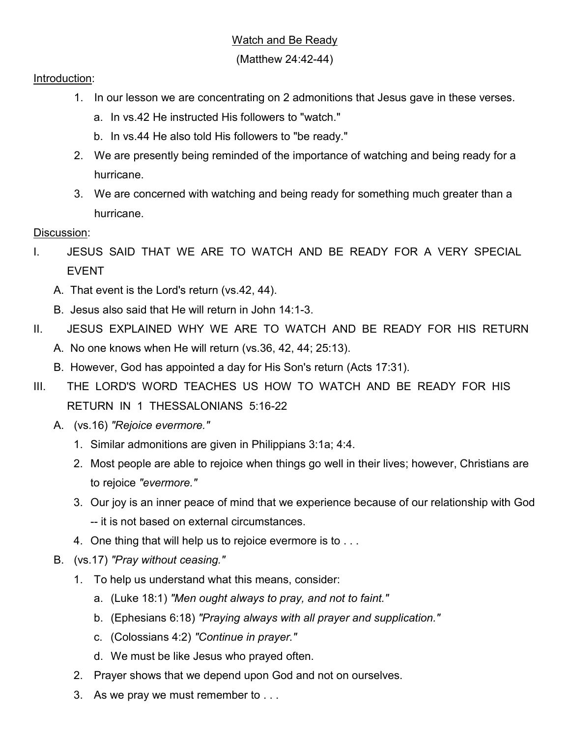## Watch and Be Ready

(Matthew 24:42-44)

Introduction:

- 1. In our lesson we are concentrating on 2 admonitions that Jesus gave in these verses.
	- a. In vs.42 He instructed His followers to "watch."
	- b. In vs.44 He also told His followers to "be ready."
- 2. We are presently being reminded of the importance of watching and being ready for a hurricane.
- 3. We are concerned with watching and being ready for something much greater than a hurricane.
- Discussion:
- I. JESUS SAID THAT WE ARE TO WATCH AND BE READY FOR A VERY SPECIAL EVENT
	- A. That event is the Lord's return (vs.42, 44).
	- B. Jesus also said that He will return in John 14:1-3.
- II. JESUS EXPLAINED WHY WE ARE TO WATCH AND BE READY FOR HIS RETURN A. No one knows when He will return (vs.36, 42, 44; 25:13).
	- B. However, God has appointed a day for His Son's return (Acts 17:31).
- III. THE LORD'S WORD TEACHES US HOW TO WATCH AND BE READY FOR HIS RETURN IN 1 THESSALONIANS 5:16-22
	- A. (vs.16) "Rejoice evermore."
		- 1. Similar admonitions are given in Philippians 3:1a; 4:4.
		- 2. Most people are able to rejoice when things go well in their lives; however, Christians are to rejoice "evermore."
		- 3. Our joy is an inner peace of mind that we experience because of our relationship with God -- it is not based on external circumstances.
		- 4. One thing that will help us to rejoice evermore is to . . .
	- B. (vs.17) "Pray without ceasing."
		- 1. To help us understand what this means, consider:
			- a. (Luke 18:1) "Men ought always to pray, and not to faint."
			- b. (Ephesians 6:18) "Praying always with all prayer and supplication."
			- c. (Colossians 4:2) "Continue in prayer."
			- d. We must be like Jesus who prayed often.
		- 2. Prayer shows that we depend upon God and not on ourselves.
		- 3. As we pray we must remember to . . .